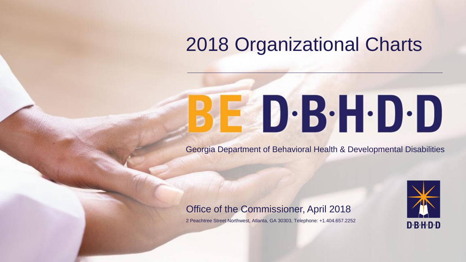## 2018 Organizational Charts

# BED·B·H·D·D

Georgia Department of Behavioral Health & Developmental Disabilities



#### Office of the Commissioner, April 2018

2 Peachtree Street Northwest, Atlanta, GA 30303, Telephone: +1.404.657.2252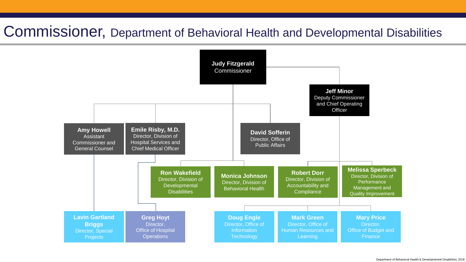#### Commissioner, Department of Behavioral Health and Developmental Disabilities

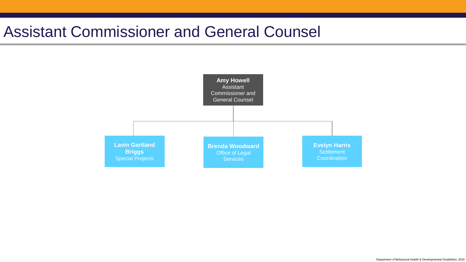#### Assistant Commissioner and General Counsel

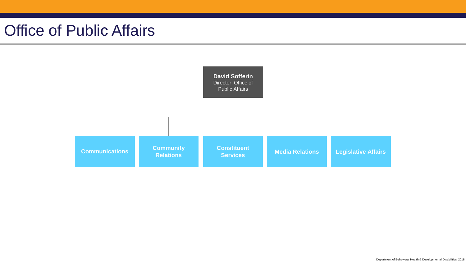#### Office of Public Affairs

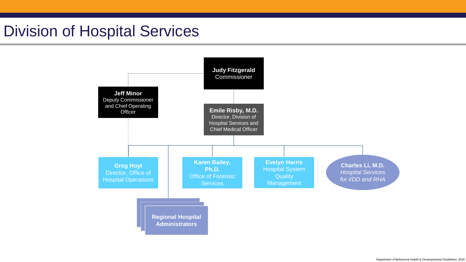#### Division of Hospital Services

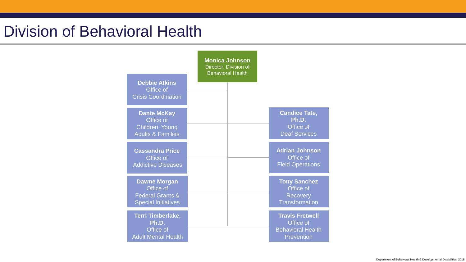#### Division of Behavioral Health

|                                                                                               | <b>Monica Johnson</b><br>Director, Division of<br><b>Behavioral Health</b> |                                                                               |
|-----------------------------------------------------------------------------------------------|----------------------------------------------------------------------------|-------------------------------------------------------------------------------|
| <b>Debbie Atkins</b><br>Office of<br><b>Crisis Coordination</b>                               |                                                                            |                                                                               |
| <b>Dante McKay</b><br>Office of<br>Children, Young<br><b>Adults &amp; Families</b>            |                                                                            | <b>Candice Tate,</b><br>Ph.D.<br>Office of<br><b>Deaf Services</b>            |
| <b>Cassandra Price</b><br>Office of<br><b>Addictive Diseases</b>                              |                                                                            | <b>Adrian Johnson</b><br>Office of<br><b>Field Operations</b>                 |
| <b>Dawne Morgan</b><br>Office of<br><b>Federal Grants &amp;</b><br><b>Special Initiatives</b> |                                                                            | <b>Tony Sanchez</b><br>Office of<br><b>Recovery</b><br><b>Transformation</b>  |
| Terri Timberlake,<br>Ph.D.<br>Office of<br><b>Adult Mental Health</b>                         |                                                                            | <b>Travis Fretwell</b><br>Office of<br><b>Behavioral Health</b><br>Prevention |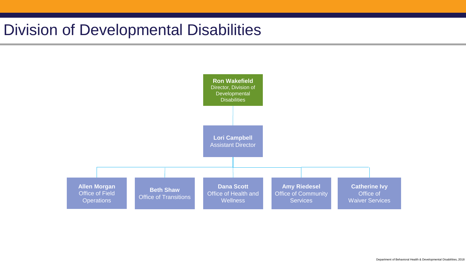### Division of Developmental Disabilities

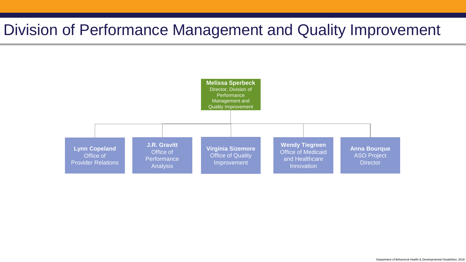#### Division of Performance Management and Quality Improvement

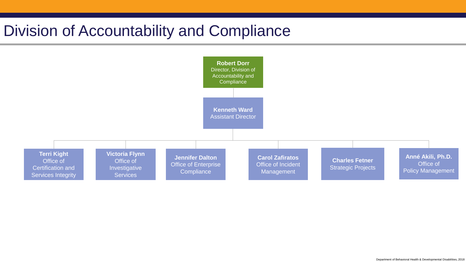### Division of Accountability and Compliance